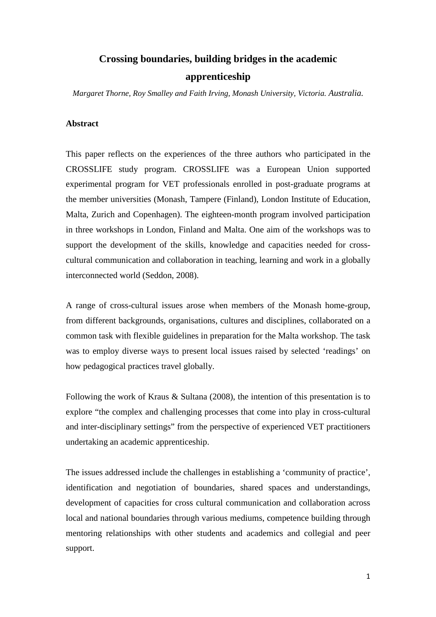# **Crossing boundaries, building bridges in the academic apprenticeship**

*Margaret Thorne, Roy Smalley and Faith Irving, Monash University, Victoria. Australia.* 

## **Abstract**

This paper reflects on the experiences of the three authors who participated in the CROSSLIFE study program. CROSSLIFE was a European Union supported experimental program for VET professionals enrolled in post-graduate programs at the member universities (Monash, Tampere (Finland), London Institute of Education, Malta, Zurich and Copenhagen). The eighteen-month program involved participation in three workshops in London, Finland and Malta. One aim of the workshops was to support the development of the skills, knowledge and capacities needed for crosscultural communication and collaboration in teaching, learning and work in a globally interconnected world (Seddon, 2008).

A range of cross-cultural issues arose when members of the Monash home-group, from different backgrounds, organisations, cultures and disciplines, collaborated on a common task with flexible guidelines in preparation for the Malta workshop. The task was to employ diverse ways to present local issues raised by selected 'readings' on how pedagogical practices travel globally.

Following the work of Kraus & Sultana (2008), the intention of this presentation is to explore "the complex and challenging processes that come into play in cross-cultural and inter-disciplinary settings" from the perspective of experienced VET practitioners undertaking an academic apprenticeship.

The issues addressed include the challenges in establishing a 'community of practice', identification and negotiation of boundaries, shared spaces and understandings, development of capacities for cross cultural communication and collaboration across local and national boundaries through various mediums, competence building through mentoring relationships with other students and academics and collegial and peer support.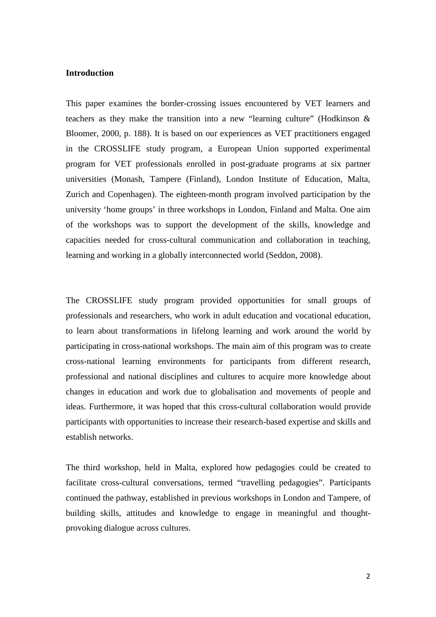### **Introduction**

This paper examines the border-crossing issues encountered by VET learners and teachers as they make the transition into a new "learning culture" (Hodkinson & Bloomer, 2000, p. 188). It is based on our experiences as VET practitioners engaged in the CROSSLIFE study program, a European Union supported experimental program for VET professionals enrolled in post-graduate programs at six partner universities (Monash, Tampere (Finland), London Institute of Education, Malta, Zurich and Copenhagen). The eighteen-month program involved participation by the university 'home groups' in three workshops in London, Finland and Malta. One aim of the workshops was to support the development of the skills, knowledge and capacities needed for cross-cultural communication and collaboration in teaching, learning and working in a globally interconnected world (Seddon, 2008).

The CROSSLIFE study program provided opportunities for small groups of professionals and researchers, who work in adult education and vocational education, to learn about transformations in lifelong learning and work around the world by participating in cross-national workshops. The main aim of this program was to create cross-national learning environments for participants from different research, professional and national disciplines and cultures to acquire more knowledge about changes in education and work due to globalisation and movements of people and ideas. Furthermore, it was hoped that this cross-cultural collaboration would provide participants with opportunities to increase their research-based expertise and skills and establish networks.

The third workshop, held in Malta, explored how pedagogies could be created to facilitate cross-cultural conversations, termed "travelling pedagogies". Participants continued the pathway, established in previous workshops in London and Tampere, of building skills, attitudes and knowledge to engage in meaningful and thoughtprovoking dialogue across cultures.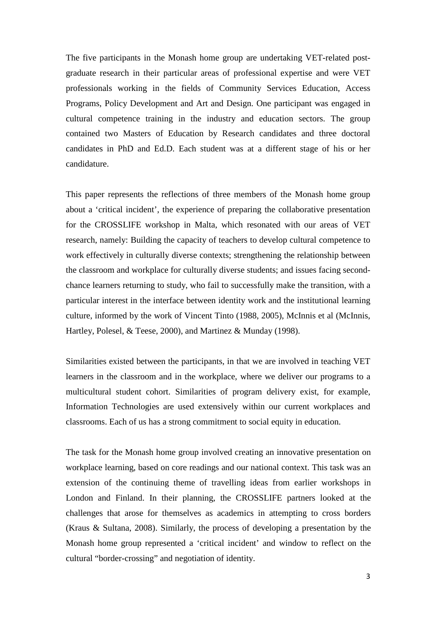The five participants in the Monash home group are undertaking VET-related postgraduate research in their particular areas of professional expertise and were VET professionals working in the fields of Community Services Education, Access Programs, Policy Development and Art and Design. One participant was engaged in cultural competence training in the industry and education sectors. The group contained two Masters of Education by Research candidates and three doctoral candidates in PhD and Ed.D. Each student was at a different stage of his or her candidature.

This paper represents the reflections of three members of the Monash home group about a 'critical incident', the experience of preparing the collaborative presentation for the CROSSLIFE workshop in Malta, which resonated with our areas of VET research, namely: Building the capacity of teachers to develop cultural competence to work effectively in culturally diverse contexts; strengthening the relationship between the classroom and workplace for culturally diverse students; and issues facing secondchance learners returning to study, who fail to successfully make the transition, with a particular interest in the interface between identity work and the institutional learning culture, informed by the work of Vincent Tinto (1988, 2005), McInnis et al (McInnis, Hartley, Polesel, & Teese, 2000), and Martinez & Munday (1998).

Similarities existed between the participants, in that we are involved in teaching VET learners in the classroom and in the workplace, where we deliver our programs to a multicultural student cohort. Similarities of program delivery exist, for example, Information Technologies are used extensively within our current workplaces and classrooms. Each of us has a strong commitment to social equity in education.

The task for the Monash home group involved creating an innovative presentation on workplace learning, based on core readings and our national context. This task was an extension of the continuing theme of travelling ideas from earlier workshops in London and Finland. In their planning, the CROSSLIFE partners looked at the challenges that arose for themselves as academics in attempting to cross borders (Kraus & Sultana, 2008). Similarly, the process of developing a presentation by the Monash home group represented a 'critical incident' and window to reflect on the cultural "border-crossing" and negotiation of identity.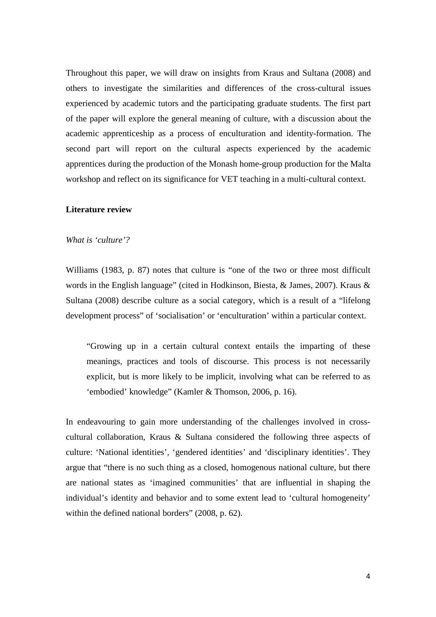Throughout this paper, we will draw on insights from Kraus and Sultana (2008) and others to investigate the similarities and differences of the cross-cultural issues experienced by academic tutors and the participating graduate students. The first part of the paper will explore the general meaning of culture, with a discussion about the academic apprenticeship as a process of enculturation and identity-formation. The second part will report on the cultural aspects experienced by the academic apprentices during the production of the Monash home-group production for the Malta workshop and reflect on its significance for VET teaching in a multi-cultural context.

### **Literature review**

### *What is 'culture'?*

Williams (1983, p. 87) notes that culture is "one of the two or three most difficult words in the English language" (cited in Hodkinson, Biesta, & James, 2007). Kraus & Sultana (2008) describe culture as a social category, which is a result of a "lifelong development process" of 'socialisation' or 'enculturation' within a particular context.

"Growing up in a certain cultural context entails the imparting of these meanings, practices and tools of discourse. This process is not necessarily explicit, but is more likely to be implicit, involving what can be referred to as 'embodied' knowledge" (Kamler & Thomson, 2006, p. 16).

In endeavouring to gain more understanding of the challenges involved in crosscultural collaboration, Kraus & Sultana considered the following three aspects of culture: 'National identities', 'gendered identities' and 'disciplinary identities'. They argue that "there is no such thing as a closed, homogenous national culture, but there are national states as 'imagined communities' that are influential in shaping the individual's identity and behavior and to some extent lead to 'cultural homogeneity' within the defined national borders" (2008, p. 62).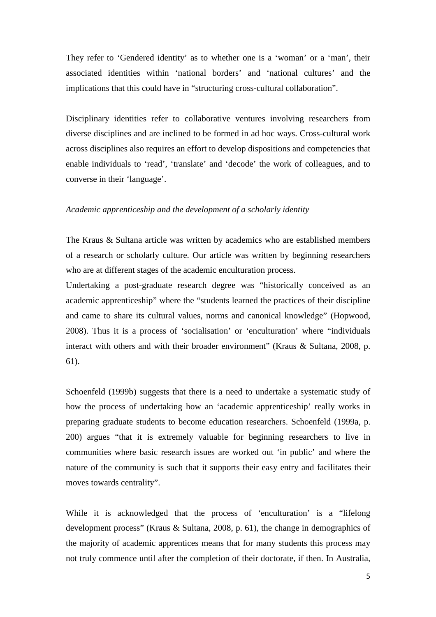They refer to 'Gendered identity' as to whether one is a 'woman' or a 'man', their associated identities within 'national borders' and 'national cultures' and the implications that this could have in "structuring cross-cultural collaboration".

Disciplinary identities refer to collaborative ventures involving researchers from diverse disciplines and are inclined to be formed in ad hoc ways. Cross-cultural work across disciplines also requires an effort to develop dispositions and competencies that enable individuals to 'read', 'translate' and 'decode' the work of colleagues, and to converse in their 'language'.

## *Academic apprenticeship and the development of a scholarly identity*

The Kraus & Sultana article was written by academics who are established members of a research or scholarly culture. Our article was written by beginning researchers who are at different stages of the academic enculturation process.

Undertaking a post-graduate research degree was "historically conceived as an academic apprenticeship" where the "students learned the practices of their discipline and came to share its cultural values, norms and canonical knowledge" (Hopwood, 2008). Thus it is a process of 'socialisation' or 'enculturation' where "individuals interact with others and with their broader environment" (Kraus & Sultana, 2008, p. 61).

Schoenfeld (1999b) suggests that there is a need to undertake a systematic study of how the process of undertaking how an 'academic apprenticeship' really works in preparing graduate students to become education researchers. Schoenfeld (1999a, p. 200) argues "that it is extremely valuable for beginning researchers to live in communities where basic research issues are worked out 'in public' and where the nature of the community is such that it supports their easy entry and facilitates their moves towards centrality".

While it is acknowledged that the process of 'enculturation' is a "lifelong development process" (Kraus & Sultana, 2008, p. 61), the change in demographics of the majority of academic apprentices means that for many students this process may not truly commence until after the completion of their doctorate, if then. In Australia,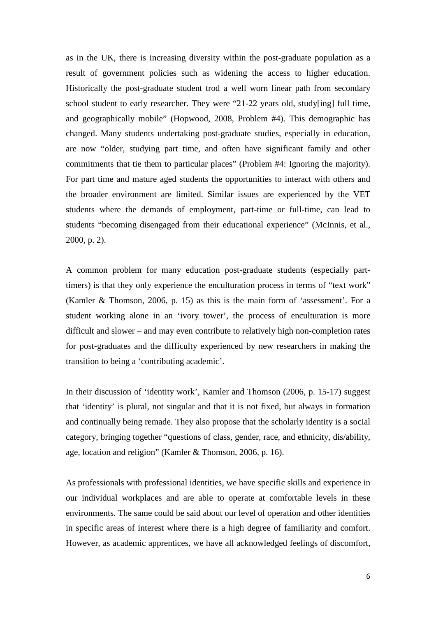as in the UK, there is increasing diversity within the post-graduate population as a result of government policies such as widening the access to higher education. Historically the post-graduate student trod a well worn linear path from secondary school student to early researcher. They were "21-22 years old, study[ing] full time, and geographically mobile" (Hopwood, 2008, Problem #4). This demographic has changed. Many students undertaking post-graduate studies, especially in education, are now "older, studying part time, and often have significant family and other commitments that tie them to particular places" (Problem #4: Ignoring the majority). For part time and mature aged students the opportunities to interact with others and the broader environment are limited. Similar issues are experienced by the VET students where the demands of employment, part-time or full-time, can lead to students "becoming disengaged from their educational experience" (McInnis, et al., 2000, p. 2).

A common problem for many education post-graduate students (especially parttimers) is that they only experience the enculturation process in terms of "text work" (Kamler & Thomson, 2006, p. 15) as this is the main form of 'assessment'. For a student working alone in an 'ivory tower', the process of enculturation is more difficult and slower – and may even contribute to relatively high non-completion rates for post-graduates and the difficulty experienced by new researchers in making the transition to being a 'contributing academic'.

In their discussion of 'identity work', Kamler and Thomson (2006, p. 15-17) suggest that 'identity' is plural, not singular and that it is not fixed, but always in formation and continually being remade. They also propose that the scholarly identity is a social category, bringing together "questions of class, gender, race, and ethnicity, dis/ability, age, location and religion" (Kamler & Thomson, 2006, p. 16).

As professionals with professional identities, we have specific skills and experience in our individual workplaces and are able to operate at comfortable levels in these environments. The same could be said about our level of operation and other identities in specific areas of interest where there is a high degree of familiarity and comfort. However, as academic apprentices, we have all acknowledged feelings of discomfort,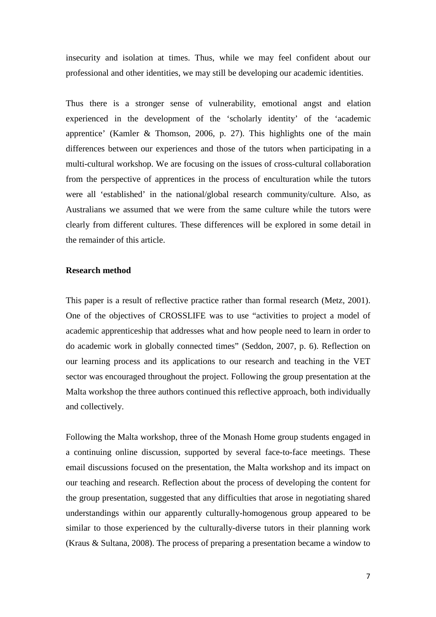insecurity and isolation at times. Thus, while we may feel confident about our professional and other identities, we may still be developing our academic identities.

Thus there is a stronger sense of vulnerability, emotional angst and elation experienced in the development of the 'scholarly identity' of the 'academic apprentice' (Kamler & Thomson, 2006, p. 27). This highlights one of the main differences between our experiences and those of the tutors when participating in a multi-cultural workshop. We are focusing on the issues of cross-cultural collaboration from the perspective of apprentices in the process of enculturation while the tutors were all 'established' in the national/global research community/culture. Also, as Australians we assumed that we were from the same culture while the tutors were clearly from different cultures. These differences will be explored in some detail in the remainder of this article.

## **Research method**

This paper is a result of reflective practice rather than formal research (Metz, 2001). One of the objectives of CROSSLIFE was to use "activities to project a model of academic apprenticeship that addresses what and how people need to learn in order to do academic work in globally connected times" (Seddon, 2007, p. 6). Reflection on our learning process and its applications to our research and teaching in the VET sector was encouraged throughout the project. Following the group presentation at the Malta workshop the three authors continued this reflective approach, both individually and collectively.

Following the Malta workshop, three of the Monash Home group students engaged in a continuing online discussion, supported by several face-to-face meetings. These email discussions focused on the presentation, the Malta workshop and its impact on our teaching and research. Reflection about the process of developing the content for the group presentation, suggested that any difficulties that arose in negotiating shared understandings within our apparently culturally-homogenous group appeared to be similar to those experienced by the culturally-diverse tutors in their planning work (Kraus & Sultana, 2008). The process of preparing a presentation became a window to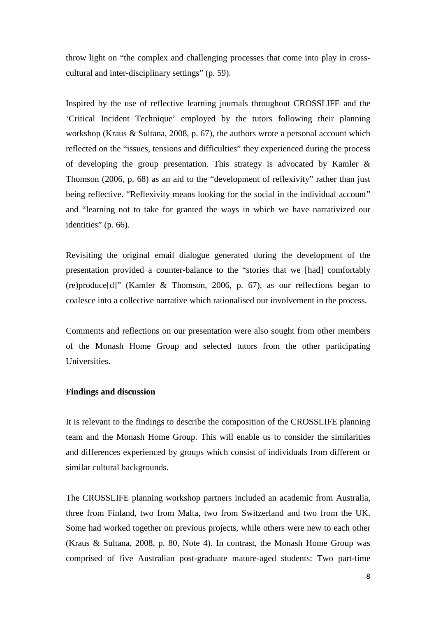throw light on "the complex and challenging processes that come into play in crosscultural and inter-disciplinary settings" (p. 59).

Inspired by the use of reflective learning journals throughout CROSSLIFE and the 'Critical Incident Technique' employed by the tutors following their planning workshop (Kraus & Sultana, 2008, p. 67), the authors wrote a personal account which reflected on the "issues, tensions and difficulties" they experienced during the process of developing the group presentation. This strategy is advocated by Kamler & Thomson (2006, p. 68) as an aid to the "development of reflexivity" rather than just being reflective. "Reflexivity means looking for the social in the individual account" and "learning not to take for granted the ways in which we have narrativized our identities" (p. 66).

Revisiting the original email dialogue generated during the development of the presentation provided a counter-balance to the "stories that we [had] comfortably (re)produce[d]" (Kamler & Thomson, 2006, p. 67), as our reflections began to coalesce into a collective narrative which rationalised our involvement in the process.

Comments and reflections on our presentation were also sought from other members of the Monash Home Group and selected tutors from the other participating Universities.

### **Findings and discussion**

It is relevant to the findings to describe the composition of the CROSSLIFE planning team and the Monash Home Group. This will enable us to consider the similarities and differences experienced by groups which consist of individuals from different or similar cultural backgrounds.

The CROSSLIFE planning workshop partners included an academic from Australia, three from Finland, two from Malta, two from Switzerland and two from the UK. Some had worked together on previous projects, while others were new to each other (Kraus & Sultana, 2008, p. 80, Note 4). In contrast, the Monash Home Group was comprised of five Australian post-graduate mature-aged students: Two part-time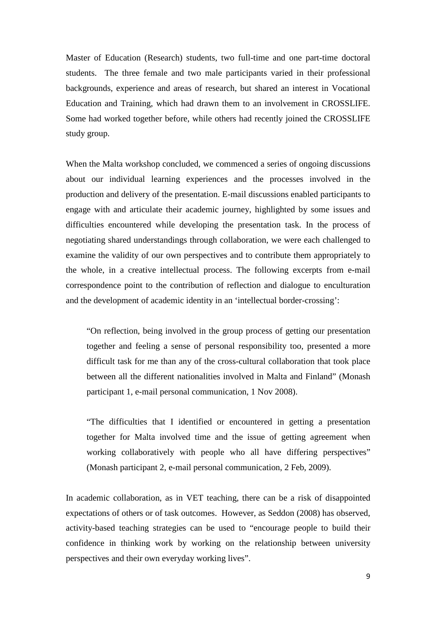Master of Education (Research) students, two full-time and one part-time doctoral students. The three female and two male participants varied in their professional backgrounds, experience and areas of research, but shared an interest in Vocational Education and Training, which had drawn them to an involvement in CROSSLIFE. Some had worked together before, while others had recently joined the CROSSLIFE study group.

When the Malta workshop concluded, we commenced a series of ongoing discussions about our individual learning experiences and the processes involved in the production and delivery of the presentation. E-mail discussions enabled participants to engage with and articulate their academic journey, highlighted by some issues and difficulties encountered while developing the presentation task. In the process of negotiating shared understandings through collaboration, we were each challenged to examine the validity of our own perspectives and to contribute them appropriately to the whole, in a creative intellectual process. The following excerpts from e-mail correspondence point to the contribution of reflection and dialogue to enculturation and the development of academic identity in an 'intellectual border-crossing':

"On reflection, being involved in the group process of getting our presentation together and feeling a sense of personal responsibility too, presented a more difficult task for me than any of the cross-cultural collaboration that took place between all the different nationalities involved in Malta and Finland" (Monash participant 1, e-mail personal communication, 1 Nov 2008).

"The difficulties that I identified or encountered in getting a presentation together for Malta involved time and the issue of getting agreement when working collaboratively with people who all have differing perspectives" (Monash participant 2, e-mail personal communication, 2 Feb, 2009).

In academic collaboration, as in VET teaching, there can be a risk of disappointed expectations of others or of task outcomes. However, as Seddon (2008) has observed, activity-based teaching strategies can be used to "encourage people to build their confidence in thinking work by working on the relationship between university perspectives and their own everyday working lives".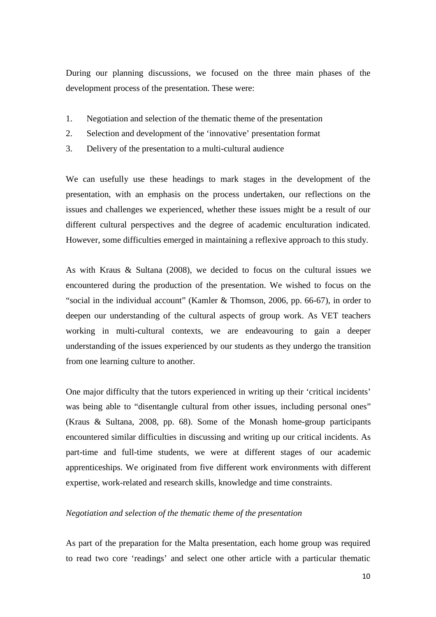During our planning discussions, we focused on the three main phases of the development process of the presentation. These were:

- 1. Negotiation and selection of the thematic theme of the presentation
- 2. Selection and development of the 'innovative' presentation format
- 3. Delivery of the presentation to a multi-cultural audience

We can usefully use these headings to mark stages in the development of the presentation, with an emphasis on the process undertaken, our reflections on the issues and challenges we experienced, whether these issues might be a result of our different cultural perspectives and the degree of academic enculturation indicated. However, some difficulties emerged in maintaining a reflexive approach to this study.

As with Kraus & Sultana (2008), we decided to focus on the cultural issues we encountered during the production of the presentation. We wished to focus on the "social in the individual account" (Kamler & Thomson, 2006, pp. 66-67), in order to deepen our understanding of the cultural aspects of group work. As VET teachers working in multi-cultural contexts, we are endeavouring to gain a deeper understanding of the issues experienced by our students as they undergo the transition from one learning culture to another.

One major difficulty that the tutors experienced in writing up their 'critical incidents' was being able to "disentangle cultural from other issues, including personal ones" (Kraus & Sultana, 2008, pp. 68). Some of the Monash home-group participants encountered similar difficulties in discussing and writing up our critical incidents. As part-time and full-time students, we were at different stages of our academic apprenticeships. We originated from five different work environments with different expertise, work-related and research skills, knowledge and time constraints.

## *Negotiation and selection of the thematic theme of the presentation*

As part of the preparation for the Malta presentation, each home group was required to read two core 'readings' and select one other article with a particular thematic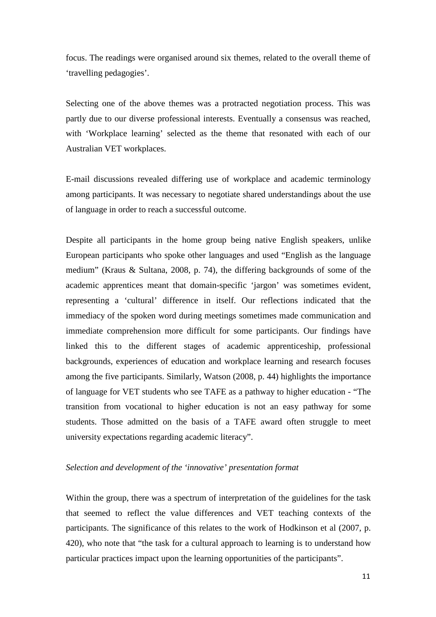focus. The readings were organised around six themes, related to the overall theme of 'travelling pedagogies'.

Selecting one of the above themes was a protracted negotiation process. This was partly due to our diverse professional interests. Eventually a consensus was reached, with 'Workplace learning' selected as the theme that resonated with each of our Australian VET workplaces.

E-mail discussions revealed differing use of workplace and academic terminology among participants. It was necessary to negotiate shared understandings about the use of language in order to reach a successful outcome.

Despite all participants in the home group being native English speakers, unlike European participants who spoke other languages and used "English as the language medium" (Kraus & Sultana, 2008, p. 74), the differing backgrounds of some of the academic apprentices meant that domain-specific 'jargon' was sometimes evident, representing a 'cultural' difference in itself. Our reflections indicated that the immediacy of the spoken word during meetings sometimes made communication and immediate comprehension more difficult for some participants. Our findings have linked this to the different stages of academic apprenticeship, professional backgrounds, experiences of education and workplace learning and research focuses among the five participants. Similarly, Watson (2008, p. 44) highlights the importance of language for VET students who see TAFE as a pathway to higher education - "The transition from vocational to higher education is not an easy pathway for some students. Those admitted on the basis of a TAFE award often struggle to meet university expectations regarding academic literacy".

## *Selection and development of the 'innovative' presentation format*

Within the group, there was a spectrum of interpretation of the guidelines for the task that seemed to reflect the value differences and VET teaching contexts of the participants. The significance of this relates to the work of Hodkinson et al (2007, p. 420), who note that "the task for a cultural approach to learning is to understand how particular practices impact upon the learning opportunities of the participants".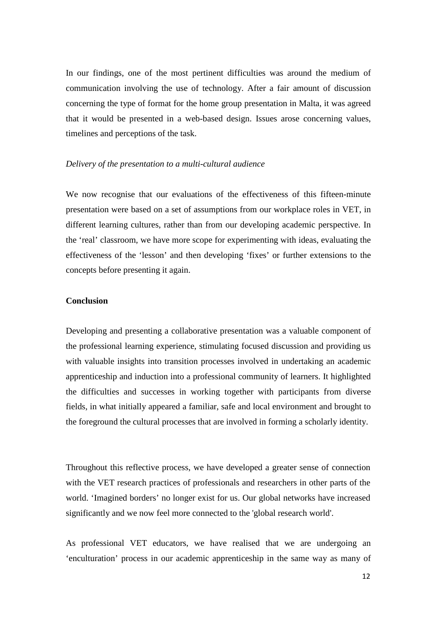In our findings, one of the most pertinent difficulties was around the medium of communication involving the use of technology. After a fair amount of discussion concerning the type of format for the home group presentation in Malta, it was agreed that it would be presented in a web-based design. Issues arose concerning values, timelines and perceptions of the task.

## *Delivery of the presentation to a multi-cultural audience*

We now recognise that our evaluations of the effectiveness of this fifteen-minute presentation were based on a set of assumptions from our workplace roles in VET, in different learning cultures, rather than from our developing academic perspective. In the 'real' classroom, we have more scope for experimenting with ideas, evaluating the effectiveness of the 'lesson' and then developing 'fixes' or further extensions to the concepts before presenting it again.

## **Conclusion**

Developing and presenting a collaborative presentation was a valuable component of the professional learning experience, stimulating focused discussion and providing us with valuable insights into transition processes involved in undertaking an academic apprenticeship and induction into a professional community of learners. It highlighted the difficulties and successes in working together with participants from diverse fields, in what initially appeared a familiar, safe and local environment and brought to the foreground the cultural processes that are involved in forming a scholarly identity.

Throughout this reflective process, we have developed a greater sense of connection with the VET research practices of professionals and researchers in other parts of the world. 'Imagined borders' no longer exist for us. Our global networks have increased significantly and we now feel more connected to the 'global research world'.

As professional VET educators, we have realised that we are undergoing an 'enculturation' process in our academic apprenticeship in the same way as many of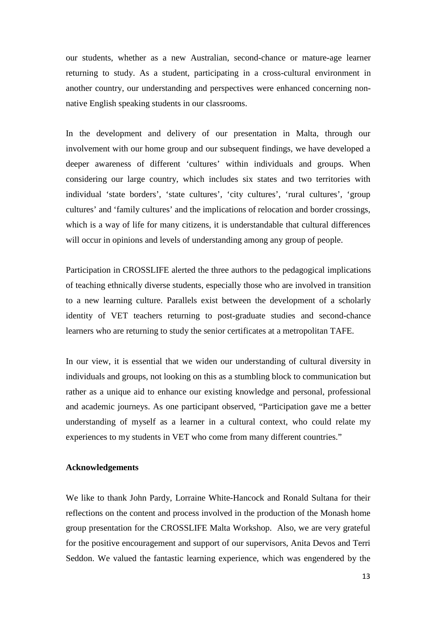our students, whether as a new Australian, second-chance or mature-age learner returning to study. As a student, participating in a cross-cultural environment in another country, our understanding and perspectives were enhanced concerning nonnative English speaking students in our classrooms.

In the development and delivery of our presentation in Malta, through our involvement with our home group and our subsequent findings, we have developed a deeper awareness of different 'cultures' within individuals and groups. When considering our large country, which includes six states and two territories with individual 'state borders', 'state cultures', 'city cultures', 'rural cultures', 'group cultures' and 'family cultures' and the implications of relocation and border crossings, which is a way of life for many citizens, it is understandable that cultural differences will occur in opinions and levels of understanding among any group of people.

Participation in CROSSLIFE alerted the three authors to the pedagogical implications of teaching ethnically diverse students, especially those who are involved in transition to a new learning culture. Parallels exist between the development of a scholarly identity of VET teachers returning to post-graduate studies and second-chance learners who are returning to study the senior certificates at a metropolitan TAFE.

In our view, it is essential that we widen our understanding of cultural diversity in individuals and groups, not looking on this as a stumbling block to communication but rather as a unique aid to enhance our existing knowledge and personal, professional and academic journeys. As one participant observed, "Participation gave me a better understanding of myself as a learner in a cultural context, who could relate my experiences to my students in VET who come from many different countries."

#### **Acknowledgements**

We like to thank John Pardy, Lorraine White-Hancock and Ronald Sultana for their reflections on the content and process involved in the production of the Monash home group presentation for the CROSSLIFE Malta Workshop. Also, we are very grateful for the positive encouragement and support of our supervisors, Anita Devos and Terri Seddon. We valued the fantastic learning experience, which was engendered by the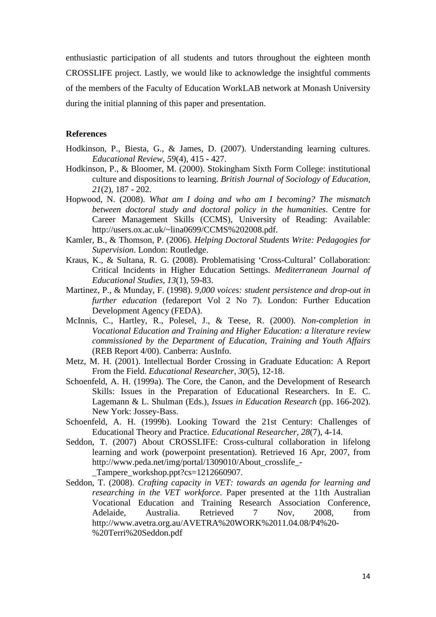enthusiastic participation of all students and tutors throughout the eighteen month CROSSLIFE project. Lastly, we would like to acknowledge the insightful comments of the members of the Faculty of Education WorkLAB network at Monash University during the initial planning of this paper and presentation.

#### **References**

- Hodkinson, P., Biesta, G., & James, D. (2007). Understanding learning cultures. *Educational Review, 59*(4), 415 - 427.
- Hodkinson, P., & Bloomer, M. (2000). Stokingham Sixth Form College: institutional culture and dispositions to learning. *British Journal of Sociology of Education, 21*(2), 187 - 202.
- Hopwood, N. (2008). *What am I doing and who am I becoming? The mismatch between doctoral study and doctoral policy in the humanities*. Centre for Career Management Skills (CCMS), University of Reading: Available: http://users.ox.ac.uk/~lina0699/CCMS%202008.pdf.
- Kamler, B., & Thomson, P. (2006). *Helping Doctoral Students Write: Pedagogies for Supervision*. London: Routledge.
- Kraus, K., & Sultana, R. G. (2008). Problematising 'Cross-Cultural' Collaboration: Critical Incidents in Higher Education Settings. *Mediterranean Journal of Educational Studies, 13*(1), 59-83.
- Martinez, P., & Munday, F. (1998). *9,000 voices: student persistence and drop-out in further education* (fedareport Vol 2 No 7). London: Further Education Development Agency (FEDA).
- McInnis, C., Hartley, R., Polesel, J., & Teese, R. (2000). *Non-completion in Vocational Education and Training and Higher Education: a literature review commissioned by the Department of Education, Training and Youth Affairs* (REB Report 4/00). Canberra: AusInfo.
- Metz, M. H. (2001). Intellectual Border Crossing in Graduate Education: A Report From the Field. *Educational Researcher, 30*(5), 12-18.
- Schoenfeld, A. H. (1999a). The Core, the Canon, and the Development of Research Skills: Issues in the Preparation of Educational Researchers. In E. C. Lagemann & L. Shulman (Eds.), *Issues in Education Research* (pp. 166-202). New York: Jossey-Bass.
- Schoenfeld, A. H. (1999b). Looking Toward the 21st Century: Challenges of Educational Theory and Practice. *Educational Researcher, 28*(7), 4-14.
- Seddon, T. (2007) About CROSSLIFE: Cross-cultural collaboration in lifelong learning and work (powerpoint presentation). Retrieved 16 Apr, 2007, from http://www.peda.net/img/portal/1309010/About\_crosslife\_- \_Tampere\_workshop.ppt?cs=1212660907.
- Seddon, T. (2008). *Crafting capacity in VET: towards an agenda for learning and researching in the VET workforce*. Paper presented at the 11th Australian Vocational Education and Training Research Association Conference, Adelaide, Australia. Retrieved 7 Nov, 2008, from http://www.avetra.org.au/AVETRA%20WORK%2011.04.08/P4%20- %20Terri%20Seddon.pdf